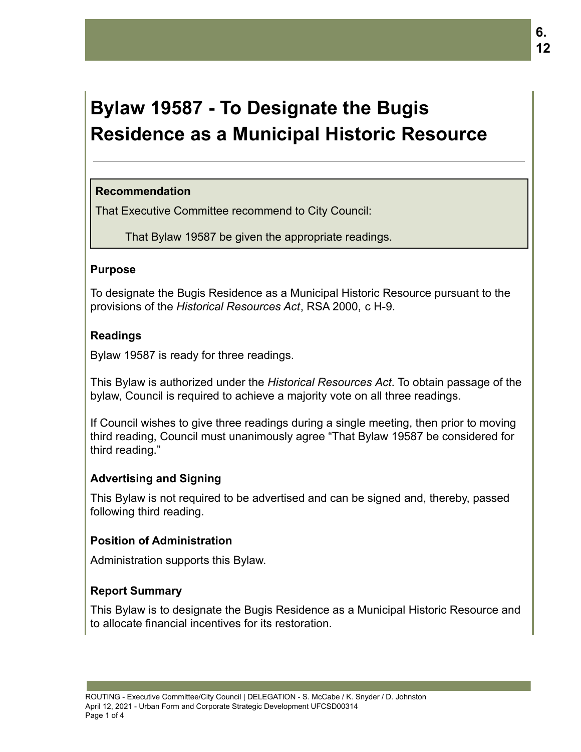# **Bylaw 19587 - To Designate the Bugis Residence as a Municipal Historic Resource**

#### **Recommendation**

That Executive Committee recommend to City Council:

That Bylaw 19587 be given the appropriate readings.

#### **Purpose**

To designate the Bugis Residence as a Municipal Historic Resource pursuant to the provisions of the *Historical Resources Act*, RSA 2000, c H-9.

#### **Readings**

Bylaw 19587 is ready for three readings.

This Bylaw is authorized under the *Historical Resources Act*. To obtain passage of the bylaw, Council is required to achieve a majority vote on all three readings.

If Council wishes to give three readings during a single meeting, then prior to moving third reading, Council must unanimously agree "That Bylaw 19587 be considered for third reading."

# **Advertising and Signing**

This Bylaw is not required to be advertised and can be signed and, thereby, passed following third reading.

# **Position of Administration**

Administration supports this Bylaw.

# **Report Summary**

This Bylaw is to designate the Bugis Residence as a Municipal Historic Resource and to allocate financial incentives for its restoration.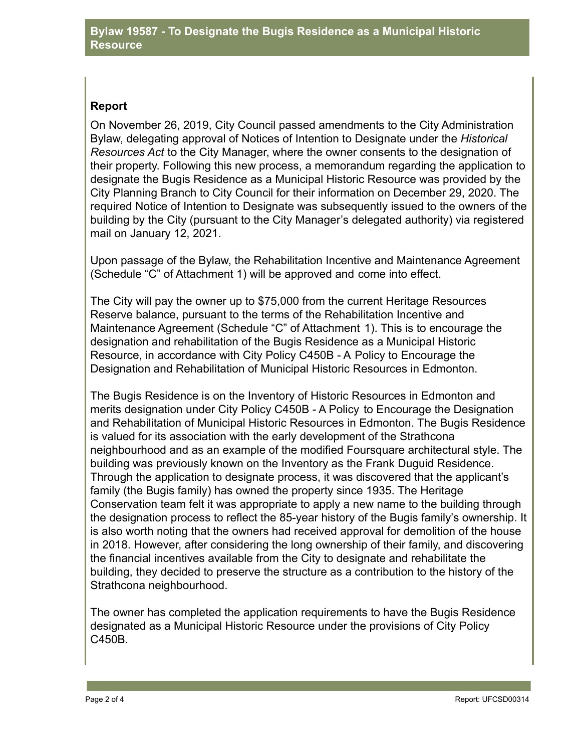# **Report**

On November 26, 2019, City Council passed amendments to the City Administration Bylaw, delegating approval of Notices of Intention to Designate under the *Historical Resources Act* to the City Manager, where the owner consents to the designation of their property. Following this new process, a memorandum regarding the application to designate the Bugis Residence as a Municipal Historic Resource was provided by the City Planning Branch to City Council for their information on December 29, 2020. The required Notice of Intention to Designate was subsequently issued to the owners of the building by the City (pursuant to the City Manager's delegated authority) via registered mail on January 12, 2021.

Upon passage of the Bylaw, the Rehabilitation Incentive and Maintenance Agreement (Schedule "C" of Attachment 1) will be approved and come into effect.

The City will pay the owner up to \$75,000 from the current Heritage Resources Reserve balance, pursuant to the terms of the Rehabilitation Incentive and Maintenance Agreement (Schedule "C" of Attachment 1). This is to encourage the designation and rehabilitation of the Bugis Residence as a Municipal Historic Resource, in accordance with City Policy C450B - A Policy to Encourage the Designation and Rehabilitation of Municipal Historic Resources in Edmonton.

The Bugis Residence is on the Inventory of Historic Resources in Edmonton and merits designation under City Policy C450B - A Policy to Encourage the Designation and Rehabilitation of Municipal Historic Resources in Edmonton. The Bugis Residence is valued for its association with the early development of the Strathcona neighbourhood and as an example of the modified Foursquare architectural style. The building was previously known on the Inventory as the Frank Duguid Residence. Through the application to designate process, it was discovered that the applicant's family (the Bugis family) has owned the property since 1935. The Heritage Conservation team felt it was appropriate to apply a new name to the building through the designation process to reflect the 85-year history of the Bugis family's ownership. It is also worth noting that the owners had received approval for demolition of the house in 2018. However, after considering the long ownership of their family, and discovering the financial incentives available from the City to designate and rehabilitate the building, they decided to preserve the structure as a contribution to the history of the Strathcona neighbourhood.

The owner has completed the application requirements to have the Bugis Residence designated as a Municipal Historic Resource under the provisions of City Policy C450B.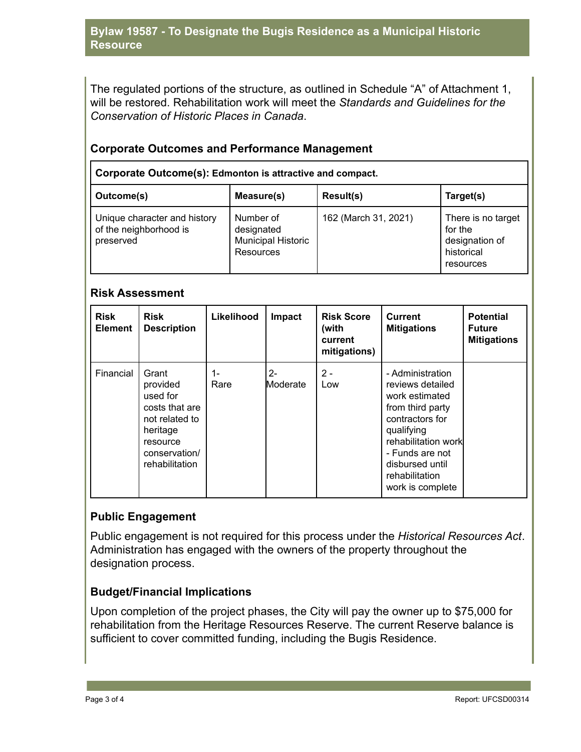#### **Bylaw 19587 - To Designate the Bugis Residence as a Municipal Historic Resource**

The regulated portions of the structure, as outlined in Schedule "A" of Attachment 1, will be restored. Rehabilitation work will meet the *Standards and Guidelines for the Conservation of Historic Places in Canada*.

#### **Corporate Outcomes and Performance Management**

| Corporate Outcome(s): Edmonton is attractive and compact.           |                                                                   |                      |                                                                            |  |  |  |  |  |
|---------------------------------------------------------------------|-------------------------------------------------------------------|----------------------|----------------------------------------------------------------------------|--|--|--|--|--|
| Outcome(s)                                                          | Measure(s)                                                        | Result(s)            | Target(s)                                                                  |  |  |  |  |  |
| Unique character and history<br>of the neighborhood is<br>preserved | Number of<br>designated<br><b>Municipal Historic</b><br>Resources | 162 (March 31, 2021) | There is no target<br>for the<br>designation of<br>historical<br>resources |  |  |  |  |  |

#### **Risk Assessment**

 $\Gamma$ 

| <b>Risk</b><br><b>Element</b> | <b>Risk</b><br><b>Description</b>                                                                                            | Likelihood | Impact            | <b>Risk Score</b><br>(with<br>current<br>mitigations) | <b>Current</b><br><b>Mitigations</b>                                                                                                                                                                           | <b>Potential</b><br><b>Future</b><br><b>Mitigations</b> |
|-------------------------------|------------------------------------------------------------------------------------------------------------------------------|------------|-------------------|-------------------------------------------------------|----------------------------------------------------------------------------------------------------------------------------------------------------------------------------------------------------------------|---------------------------------------------------------|
| Financial                     | Grant<br>provided<br>used for<br>costs that are<br>not related to<br>heritage<br>resource<br>conservation/<br>rehabilitation | 1-<br>Rare | $2 -$<br>Moderate | 2 -<br>Low                                            | - Administration<br>reviews detailed<br>work estimated<br>from third party<br>contractors for<br>qualifying<br>rehabilitation work<br>- Funds are not<br>disbursed until<br>rehabilitation<br>work is complete |                                                         |

#### **Public Engagement**

Public engagement is not required for this process under the *Historical Resources Act*. Administration has engaged with the owners of the property throughout the designation process.

#### **Budget/Financial Implications**

Upon completion of the project phases, the City will pay the owner up to \$75,000 for rehabilitation from the Heritage Resources Reserve. The current Reserve balance is sufficient to cover committed funding, including the Bugis Residence.